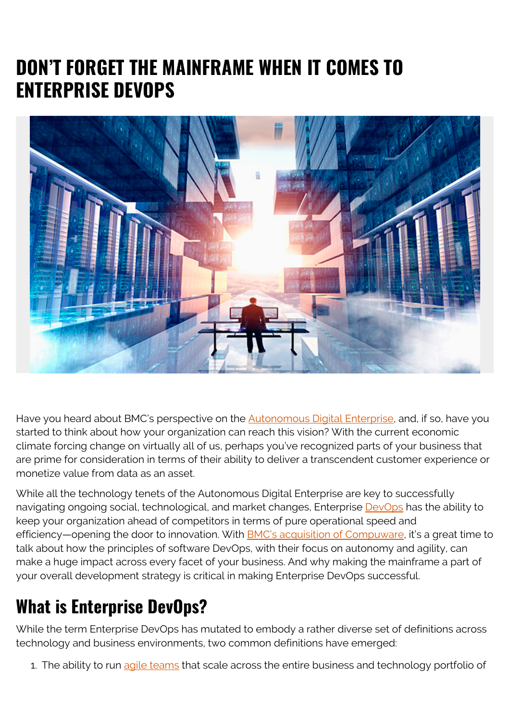## **DON'T FORGET THE MAINFRAME WHEN IT COMES TO ENTERPRISE DEVOPS**



Have you heard about BMC's perspective on the **Autonomous Digital Enterprise**, and, if so, have you started to think about how your organization can reach this vision? With the current economic climate forcing change on virtually all of us, perhaps you've recognized parts of your business that are prime for consideration in terms of their ability to deliver a transcendent customer experience or monetize value from data as an asset.

While all the technology tenets of the Autonomous Digital Enterprise are key to successfully navigating ongoing social, technological, and market changes, Enterprise **DevOps** has the ability to keep your organization ahead of competitors in terms of pure operational speed and efficiency—opening the door to innovation. With [BMC's acquisition of Compuware,](https://blogs.bmc.com/newsroom/releases/bmc-completes-acquisition-compuware-mainstream-mainframe-devops.html) it's a great time to talk about how the principles of software DevOps, with their focus on autonomy and agility, can make a huge impact across every facet of your business. And why making the mainframe a part of your overall development strategy is critical in making Enterprise DevOps successful.

## **What is Enterprise DevOps?**

While the term Enterprise DevOps has mutated to embody a rather diverse set of definitions across technology and business environments, two common definitions have emerged:

1. The ability to run [agile teams](https://www.bmc.com/blogs/agile-scrum-getting-started/) that scale across the entire business and technology portfolio of